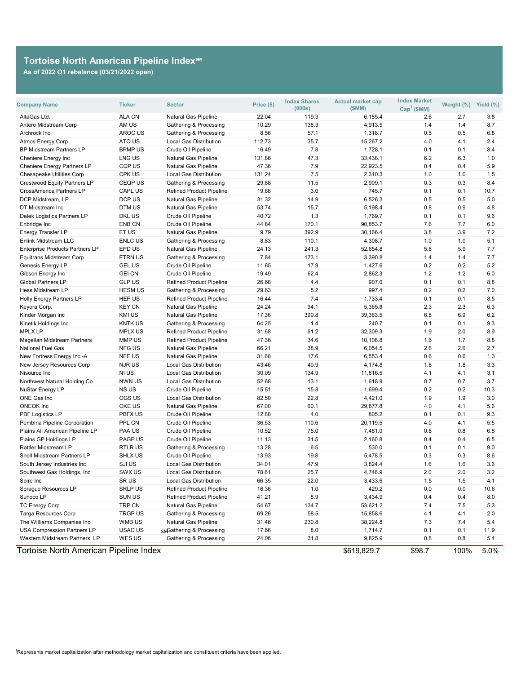| <b>Company Name</b>                    | <b>Ticker</b>  | <b>Sector</b>                     | Price (\$) | <b>Index Shares</b><br>(000s) | <b>Actual market cap</b><br>(SMM) | <b>Index Market</b><br>$Cap1$ (\$MM) | Weight (%) | Yield (%) |
|----------------------------------------|----------------|-----------------------------------|------------|-------------------------------|-----------------------------------|--------------------------------------|------------|-----------|
| AltaGas Ltd.                           | <b>ALA CN</b>  | <b>Natural Gas Pipeline</b>       | 22.04      | 119.3                         | 6,185.4                           | 2.6                                  | 2.7        | 3.8       |
| <b>Antero Midstream Corp</b>           | AM US          | <b>Gathering &amp; Processing</b> | 10.29      | 138.3                         | 4,913.5                           | 1.4                                  | 1.4        | 8.7       |
| Archrock Inc                           | <b>AROC US</b> | <b>Gathering &amp; Processing</b> | 8.56       | 57.1                          | 1,318.7                           | 0.5                                  | 0.5        | 6.8       |
| <b>Atmos Energy Corp</b>               | ATO US         | <b>Local Gas Distribution</b>     | 112.73     | 35.7                          | 15,267.2                          | 4.0                                  | 4.1        | 2.4       |
| <b>BP Midstream Partners LP</b>        | <b>BPMP US</b> | Crude Oil Pipeline                | 16.49      | 7.8                           | 1,728.1                           | 0.1                                  | 0.1        | 8.4       |
| <b>Cheniere Energy Inc</b>             | LNG US         | <b>Natural Gas Pipeline</b>       | 131.86     | 47.3                          | 33,438.1                          | 6.2                                  | 6.3        | 1.0       |
| <b>Cheniere Energy Partners LP</b>     | <b>CQP US</b>  | <b>Natural Gas Pipeline</b>       | 47.36      | 7.9                           | 22,923.5                          | 0.4                                  | 0.4        | 5.9       |
| <b>Chesapeake Utilities Corp</b>       | CPK US         | <b>Local Gas Distribution</b>     | 131.24     | 7.5                           | 2,310.3                           | 1.0                                  | 1.0        | 1.5       |
| <b>Crestwood Equity Partners LP</b>    | <b>CEQPUS</b>  | <b>Gathering &amp; Processing</b> | 29.88      | 11.5                          | 2,909.1                           | 0.3                                  | 0.3        | 8.4       |
| <b>CrossAmerica Partners LP</b>        | <b>CAPL US</b> | <b>Refined Product Pipeline</b>   | 19.68      | 3.0                           | 745.7                             | 0.1                                  | 0.1        | 10.7      |
| DCP Midstream, LP                      | DCP US         | <b>Natural Gas Pipeline</b>       | 31.32      | 14.9                          | 6,526.3                           | 0.5                                  | 0.5        | 5.0       |
| DT Midstream Inc                       | DTM US         | <b>Natural Gas Pipeline</b>       | 53.74      | 15.7                          | 5,198.4                           | 0.8                                  | 0.9        | 4.8       |
| <b>Delek Logistics Partners LP</b>     | DKL US         | Crude Oil Pipeline                | 40.72      | 1.3                           | 1,769.7                           | 0.1                                  | 0.1        | 9.6       |
| Enbridge Inc                           | <b>ENB CN</b>  | <b>Crude Oil Pipeline</b>         | 44.84      | 170.1                         | 90,853.7                          | 7.6                                  | 7.7        | 6.0       |
| <b>Energy Transfer LP</b>              | ET US          | <b>Natural Gas Pipeline</b>       | 9.79       | 392.9                         | 30,166.4                          | 3.8                                  | 3.9        | 7.2       |
| <b>Enlink Midstream LLC</b>            | <b>ENLC US</b> | Gathering & Processing            | 8.83       | 110.1                         | 4,308.7                           | 1.0                                  | 1.0        | 5.1       |
| <b>Enterprise Products Partners LP</b> | EPD US         | <b>Natural Gas Pipeline</b>       | 24.13      | 241.3                         | 52,654.8                          | 5.8                                  | 5.9        | 7.7       |
| <b>Equitrans Midstream Corp</b>        | <b>ETRN US</b> | Gathering & Processing            | 7.84       | 173.1                         | 3,390.8                           | 1.4                                  | 1.4        | 7.7       |
| <b>Genesis Energy LP</b>               | <b>GEL US</b>  | Crude Oil Pipeline                | 11.65      | 17.9                          | 1,427.6                           | 0.2                                  | 0.2        | 5.2       |
| Gibson Energy Inc                      | <b>GEI CN</b>  | Crude Oil Pipeline                | 19.49      | 62.4                          | 2,862.3                           | 1.2                                  | 1.2        | 6.0       |
| <b>Global Partners LP</b>              | <b>GLP US</b>  | <b>Refined Product Pipeline</b>   | 26.68      | 4.4                           | 907.0                             | 0.1                                  | 0.1        | 8.8       |
| <b>Hess Midstream LP</b>               | <b>HESM US</b> | <b>Gathering &amp; Processing</b> | 29.63      | 5.2                           | 997.4                             | 0.2                                  | 0.2        | 7.0       |
| <b>Holly Energy Partners LP</b>        | <b>HEP US</b>  | <b>Refined Product Pipeline</b>   | 16.44      | 7.4                           | 1,733.4                           | 0.1                                  | 0.1        | 8.5       |
| Keyera Corp.                           | <b>KEY CN</b>  | <b>Natural Gas Pipeline</b>       | 24.24      | 94.1                          | 5,365.8                           | 2.3                                  | 2.3        | 6.3       |
| Kinder Morgan Inc                      | <b>KMI US</b>  | <b>Natural Gas Pipeline</b>       | 17.36      | 390.8                         | 39,363.5                          | 6.8                                  | 6.9        | 6.2       |
| Kinetik Holdings Inc.                  | <b>KNTK US</b> | <b>Gathering &amp; Processing</b> | 64.25      | 1.4                           | 240.7                             | 0.1                                  | 0.1        | 9.3       |
| <b>MPLX LP</b>                         | <b>MPLX US</b> | <b>Refined Product Pipeline</b>   | 31.68      | 61.2                          | 32,309.3                          | 1.9                                  | 2.0        | 8.9       |
| <b>Magellan Midstream Partners</b>     | MMP US         | <b>Refined Product Pipeline</b>   | 47.36      | 34.6                          | 10,108.8                          | 1.6                                  | 1.7        | 8.8       |
| <b>National Fuel Gas</b>               | <b>NFG US</b>  | <b>Natural Gas Pipeline</b>       | 66.21      | 38.9                          | 6,054.5                           | 2.6                                  | 2.6        | 2.7       |
| New Fortress Energy Inc.-A             | <b>NFE US</b>  | <b>Natural Gas Pipeline</b>       | 31.68      | 17.6                          | 6,553.4                           | 0.6                                  | 0.6        | 1.3       |
| <b>New Jersey Resources Corp</b>       | <b>NJRUS</b>   | <b>Local Gas Distribution</b>     | 43.46      | 40.9                          | 4,174.8                           | 1.8                                  | 1.8        | 3.3       |
| Nisource Inc                           | NI US          | <b>Local Gas Distribution</b>     | 30.09      | 134.9                         | 11,816.5                          | 4.1                                  | 4.1        | 3.1       |
| Northwest Natural Holding Co           | <b>NWN US</b>  | <b>Local Gas Distribution</b>     | 52.68      | 13.1                          | 1,618.9                           | 0.7                                  | 0.7        | 3.7       |
| <b>NuStar Energy LP</b>                | NS US          | Crude Oil Pipeline                | 15.51      | 15.8                          | 1,699.4                           | 0.2                                  | 0.2        | 10.3      |
| <b>ONE Gas Inc</b>                     | OGS US         | <b>Local Gas Distribution</b>     | 82.50      | 22.8                          | 4,421.0                           | 1.9                                  | 1.9        | 3.0       |
| <b>ONEOK Inc</b>                       |                |                                   |            |                               |                                   |                                      |            |           |
|                                        | OKE US         | <b>Natural Gas Pipeline</b>       | 67.00      | 60.1                          | 29,877.8                          | 4.0                                  | 4.1        | 5.6       |
| <b>PBF Logistics LP</b>                | <b>PBFX US</b> | Crude Oil Pipeline                | 12.88      | 4.0                           | 805.2                             | 0.1                                  | 0.1        | 9.3       |
| Pembina Pipeline Corporation           | PPL CN         | <b>Crude Oil Pipeline</b>         | 36.53      | 110.6                         | 20,119.5                          | 4.0                                  | 4.1        | 5.5       |
| Plains All American Pipeline LP        | <b>PAA US</b>  | Crude Oil Pipeline                | 10.52      | 75.0                          | 7,481.0                           | 0.8                                  | 0.8        | 6.8       |
| Plains GP Holdings LP                  | PAGP US        | Crude Oil Pipeline                | 11.13      | 31.5                          | 2,160.8                           | 0.4                                  | 0.4        | 6.5       |
| <b>Rattler Midstream LP</b>            | <b>RTLRUS</b>  | Gathering & Processing            | 13.28      | 6.5                           | 530.0                             | 0.1                                  | 0.1        | 9.0       |
| <b>Shell Midstream Partners LP</b>     | <b>SHLX US</b> | <b>Crude Oil Pipeline</b>         | 13.93      | 19.8                          | 5,478.5                           | 0.3                                  | 0.3        | 8.6       |
| South Jersey Industries Inc            | <b>SJI US</b>  | <b>Local Gas Distribution</b>     | 34.01      | 47.9                          | 3,824.4                           | 1.6                                  | 1.6        | 3.6       |
| Southwest Gas Holdings, Inc.           | SWX US         | <b>Local Gas Distribution</b>     | 78.61      | 25.7                          | 4,746.9                           | 2.0                                  | 2.0        | 3.2       |
| Spire Inc                              | SRUS           | <b>Local Gas Distribution</b>     | 66.35      | 22.0                          | 3,433.6                           | 1.5                                  | 1.5        | 4.1       |
| Sprague Resources LP                   | <b>SRLP US</b> | <b>Refined Product Pipeline</b>   | 16.36      | 1.0                           | 429.2                             | 0.0                                  | 0.0        | 10.6      |
| Sunoco LP                              | <b>SUN US</b>  | <b>Refined Product Pipeline</b>   | 41.21      | 8.9                           | 3,434.9                           | 0.4                                  | 0.4        | 8.0       |
| <b>TC Energy Corp</b>                  | <b>TRP CN</b>  | <b>Natural Gas Pipeline</b>       | 54.67      | 134.7                         | 53,621.2                          | 7.4                                  | 7.5        | 5.3       |
| <b>Targa Resources Corp</b>            | <b>TRGP US</b> | <b>Gathering &amp; Processing</b> | 69.26      | 58.5                          | 15,858.6                          | 4.1                                  | 4.1        | 2.0       |
| The Williams Companies Inc             | <b>WMB US</b>  | <b>Natural Gas Pipeline</b>       | 31.46      | 230.8                         | 38,224.8                          | 7.3                                  | 7.4        | 5.4       |
| <b>USA Compression Partners LP</b>     | <b>USAC US</b> | SMGathering & Processing          | 17.66      | 8.0                           | 1,714.7                           | 0.1                                  | 0.1        | 11.9      |
| Western Midstream Partners, LP         | WES US         | <b>Gathering &amp; Processing</b> | 24.06      | 31.8                          | 9,825.9                           | 0.8                                  | 0.8        | 5.4       |
| Tortoise North American Pipeline Index | \$619,829.7    | \$98.7                            | 100%       | $5.0\%$                       |                                   |                                      |            |           |

## **Tortoise North American Pipeline Index℠**

**As of 2022 Q1 rebalance (03/21/2022 open)**